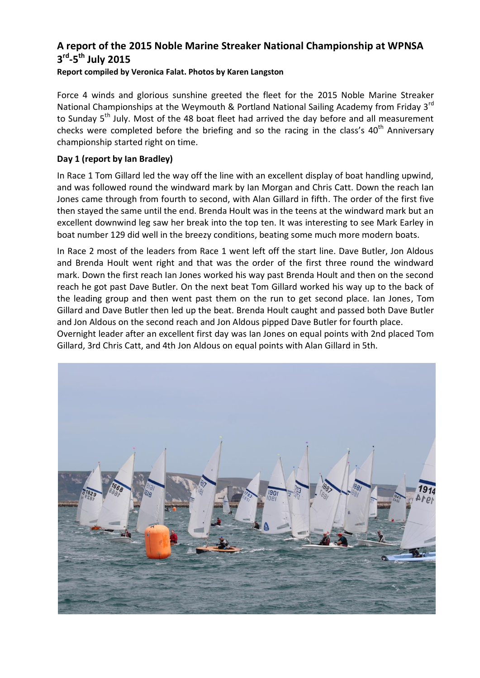# **A report of the 2015 Noble Marine Streaker National Championship at WPNSA 3 rd -5 th July 2015**

## **Report compiled by Veronica Falat. Photos by Karen Langston**

Force 4 winds and glorious sunshine greeted the fleet for the 2015 Noble Marine Streaker National Championships at the Weymouth & Portland National Sailing Academy from Friday 3<sup>rd</sup> to Sunday 5<sup>th</sup> July. Most of the 48 boat fleet had arrived the day before and all measurement checks were completed before the briefing and so the racing in the class's  $40<sup>th</sup>$  Anniversary championship started right on time.

# **Day 1 (report by Ian Bradley)**

In Race 1 Tom Gillard led the way off the line with an excellent display of boat handling upwind, and was followed round the windward mark by Ian Morgan and Chris Catt. Down the reach Ian Jones came through from fourth to second, with Alan Gillard in fifth. The order of the first five then stayed the same until the end. Brenda Hoult was in the teens at the windward mark but an excellent downwind leg saw her break into the top ten. It was interesting to see Mark Earley in boat number 129 did well in the breezy conditions, beating some much more modern boats.

In Race 2 most of the leaders from Race 1 went left off the start line. Dave Butler, Jon Aldous and Brenda Hoult went right and that was the order of the first three round the windward mark. Down the first reach Ian Jones worked his way past Brenda Hoult and then on the second reach he got past Dave Butler. On the next beat Tom Gillard worked his way up to the back of the leading group and then went past them on the run to get second place. Ian Jones, Tom Gillard and Dave Butler then led up the beat. Brenda Hoult caught and passed both Dave Butler and Jon Aldous on the second reach and Jon Aldous pipped Dave Butler for fourth place.

Overnight leader after an excellent first day was Ian Jones on equal points with 2nd placed Tom Gillard, 3rd Chris Catt, and 4th Jon Aldous on equal points with Alan Gillard in 5th.

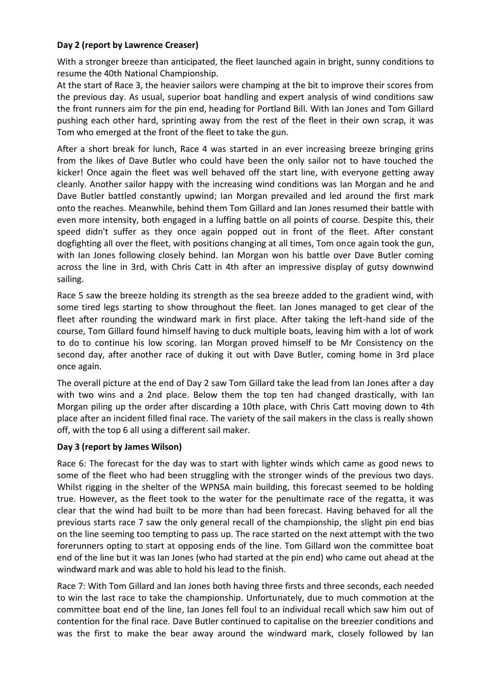# **Day 2 (report by Lawrence Creaser)**

With a stronger breeze than anticipated, the fleet launched again in bright, sunny conditions to resume the 40th National Championship.

At the start of Race 3, the heavier sailors were champing at the bit to improve their scores from the previous day. As usual, superior boat handling and expert analysis of wind conditions saw the front runners aim for the pin end, heading for Portland Bill. With Ian Jones and Tom Gillard pushing each other hard, sprinting away from the rest of the fleet in their own scrap, it was Tom who emerged at the front of the fleet to take the gun.

After a short break for lunch, Race 4 was started in an ever increasing breeze bringing grins from the likes of Dave Butler who could have been the only sailor not to have touched the kicker! Once again the fleet was well behaved off the start line, with everyone getting away cleanly. Another sailor happy with the increasing wind conditions was Ian Morgan and he and Dave Butler battled constantly upwind; Ian Morgan prevailed and led around the first mark onto the reaches. Meanwhile, behind them Tom Gillard and Ian Jones resumed their battle with even more intensity, both engaged in a luffing battle on all points of course. Despite this, their speed didn't suffer as they once again popped out in front of the fleet. After constant dogfighting all over the fleet, with positions changing at all times, Tom once again took the gun, with Ian Jones following closely behind. Ian Morgan won his battle over Dave Butler coming across the line in 3rd, with Chris Catt in 4th after an impressive display of gutsy downwind sailing.

Race 5 saw the breeze holding its strength as the sea breeze added to the gradient wind, with some tired legs starting to show throughout the fleet. Ian Jones managed to get clear of the fleet after rounding the windward mark in first place. After taking the left-hand side of the course, Tom Gillard found himself having to duck multiple boats, leaving him with a lot of work to do to continue his low scoring. Ian Morgan proved himself to be Mr Consistency on the second day, after another race of duking it out with Dave Butler, coming home in 3rd place once again.

The overall picture at the end of Day 2 saw Tom Gillard take the lead from Ian Jones after a day with two wins and a 2nd place. Below them the top ten had changed drastically, with Ian Morgan piling up the order after discarding a 10th place, with Chris Catt moving down to 4th place after an incident filled final race. The variety of the sail makers in the class is really shown off, with the top 6 all using a different sail maker.

## **Day 3 (report by James Wilson)**

Race 6: The forecast for the day was to start with lighter winds which came as good news to some of the fleet who had been struggling with the stronger winds of the previous two days. Whilst rigging in the shelter of the WPNSA main building, this forecast seemed to be holding true. However, as the fleet took to the water for the penultimate race of the regatta, it was clear that the wind had built to be more than had been forecast. Having behaved for all the previous starts race 7 saw the only general recall of the championship, the slight pin end bias on the line seeming too tempting to pass up. The race started on the next attempt with the two forerunners opting to start at opposing ends of the line. Tom Gillard won the committee boat end of the line but it was Ian Jones (who had started at the pin end) who came out ahead at the windward mark and was able to hold his lead to the finish.

Race 7: With Tom Gillard and Ian Jones both having three firsts and three seconds, each needed to win the last race to take the championship. Unfortunately, due to much commotion at the committee boat end of the line, Ian Jones fell foul to an individual recall which saw him out of contention for the final race. Dave Butler continued to capitalise on the breezier conditions and was the first to make the bear away around the windward mark, closely followed by Ian